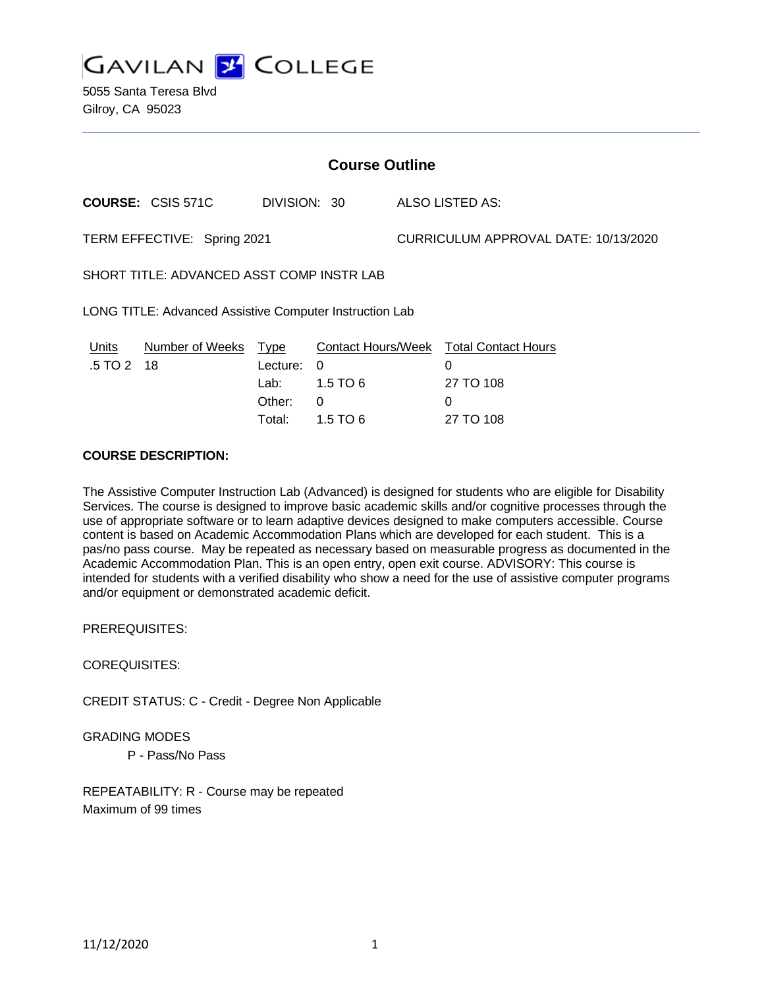**GAVILAN 2 COLLEGE** 

5055 Santa Teresa Blvd Gilroy, CA 95023

| <b>Course Outline</b>                                   |                          |                                      |                                           |                                      |                                                                                   |
|---------------------------------------------------------|--------------------------|--------------------------------------|-------------------------------------------|--------------------------------------|-----------------------------------------------------------------------------------|
|                                                         | <b>COURSE: CSIS 571C</b> | DIVISION: 30                         |                                           |                                      | ALSO LISTED AS:                                                                   |
| TERM EFFECTIVE: Spring 2021                             |                          |                                      |                                           | CURRICULUM APPROVAL DATE: 10/13/2020 |                                                                                   |
| SHORT TITLE: ADVANCED ASST COMP INSTR LAB               |                          |                                      |                                           |                                      |                                                                                   |
| LONG TITLE: Advanced Assistive Computer Instruction Lab |                          |                                      |                                           |                                      |                                                                                   |
| Units<br>$.5 \, \text{T}$ O 2 18                        | Number of Weeks Type     | Lecture:<br>Lab:<br>Other:<br>Total: | 0<br>$1.5$ TO 6<br>$\Omega$<br>1.5 TO $6$ |                                      | Contact Hours/Week Total Contact Hours<br>$\Omega$<br>27 TO 108<br>0<br>27 TO 108 |

## **COURSE DESCRIPTION:**

The Assistive Computer Instruction Lab (Advanced) is designed for students who are eligible for Disability Services. The course is designed to improve basic academic skills and/or cognitive processes through the use of appropriate software or to learn adaptive devices designed to make computers accessible. Course content is based on Academic Accommodation Plans which are developed for each student. This is a pas/no pass course. May be repeated as necessary based on measurable progress as documented in the Academic Accommodation Plan. This is an open entry, open exit course. ADVISORY: This course is intended for students with a verified disability who show a need for the use of assistive computer programs and/or equipment or demonstrated academic deficit.

PREREQUISITES:

COREQUISITES:

CREDIT STATUS: C - Credit - Degree Non Applicable

GRADING MODES

P - Pass/No Pass

REPEATABILITY: R - Course may be repeated Maximum of 99 times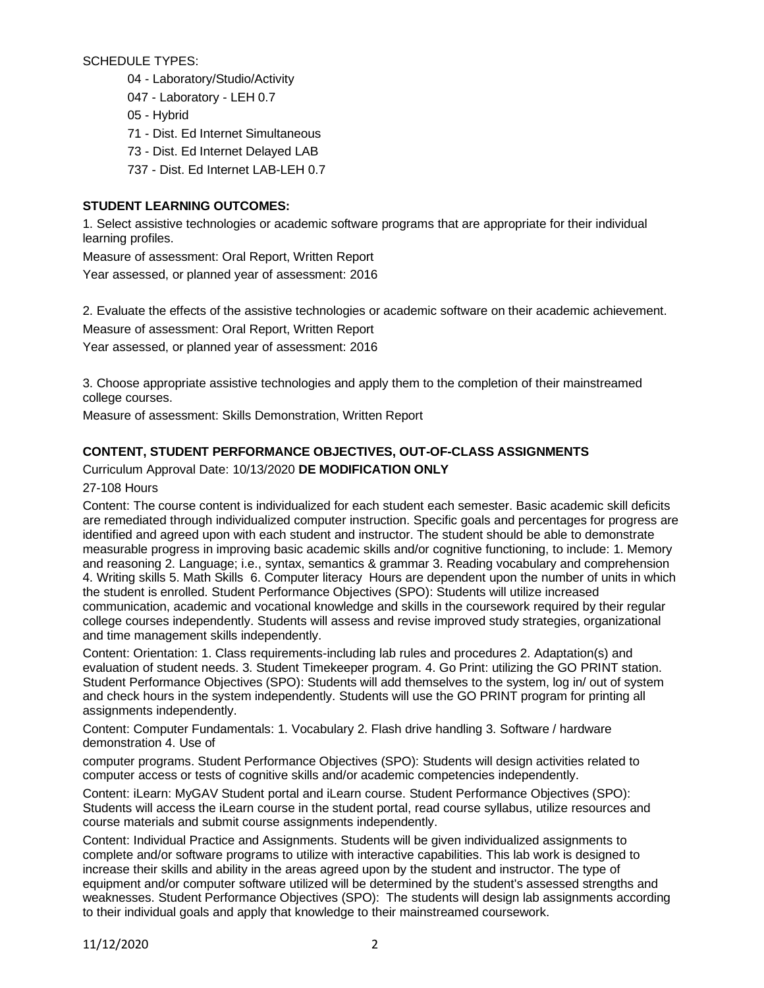SCHEDULE TYPES:

- 04 Laboratory/Studio/Activity
- 047 Laboratory LEH 0.7
- 05 Hybrid
- 71 Dist. Ed Internet Simultaneous
- 73 Dist. Ed Internet Delayed LAB
- 737 Dist. Ed Internet LAB-LEH 0.7

# **STUDENT LEARNING OUTCOMES:**

1. Select assistive technologies or academic software programs that are appropriate for their individual learning profiles.

Measure of assessment: Oral Report, Written Report Year assessed, or planned year of assessment: 2016

2. Evaluate the effects of the assistive technologies or academic software on their academic achievement. Measure of assessment: Oral Report, Written Report

Year assessed, or planned year of assessment: 2016

3. Choose appropriate assistive technologies and apply them to the completion of their mainstreamed college courses.

Measure of assessment: Skills Demonstration, Written Report

# **CONTENT, STUDENT PERFORMANCE OBJECTIVES, OUT-OF-CLASS ASSIGNMENTS**

# Curriculum Approval Date: 10/13/2020 **DE MODIFICATION ONLY**

27-108 Hours

Content: The course content is individualized for each student each semester. Basic academic skill deficits are remediated through individualized computer instruction. Specific goals and percentages for progress are identified and agreed upon with each student and instructor. The student should be able to demonstrate measurable progress in improving basic academic skills and/or cognitive functioning, to include: 1. Memory and reasoning 2. Language; i.e., syntax, semantics & grammar 3. Reading vocabulary and comprehension 4. Writing skills 5. Math Skills 6. Computer literacy Hours are dependent upon the number of units in which the student is enrolled. Student Performance Objectives (SPO): Students will utilize increased communication, academic and vocational knowledge and skills in the coursework required by their regular college courses independently. Students will assess and revise improved study strategies, organizational and time management skills independently.

Content: Orientation: 1. Class requirements-including lab rules and procedures 2. Adaptation(s) and evaluation of student needs. 3. Student Timekeeper program. 4. Go Print: utilizing the GO PRINT station. Student Performance Objectives (SPO): Students will add themselves to the system, log in/ out of system and check hours in the system independently. Students will use the GO PRINT program for printing all assignments independently.

Content: Computer Fundamentals: 1. Vocabulary 2. Flash drive handling 3. Software / hardware demonstration 4. Use of

computer programs. Student Performance Objectives (SPO): Students will design activities related to computer access or tests of cognitive skills and/or academic competencies independently.

Content: iLearn: MyGAV Student portal and iLearn course. Student Performance Objectives (SPO): Students will access the iLearn course in the student portal, read course syllabus, utilize resources and course materials and submit course assignments independently.

Content: Individual Practice and Assignments. Students will be given individualized assignments to complete and/or software programs to utilize with interactive capabilities. This lab work is designed to increase their skills and ability in the areas agreed upon by the student and instructor. The type of equipment and/or computer software utilized will be determined by the student's assessed strengths and weaknesses. Student Performance Objectives (SPO): The students will design lab assignments according to their individual goals and apply that knowledge to their mainstreamed coursework.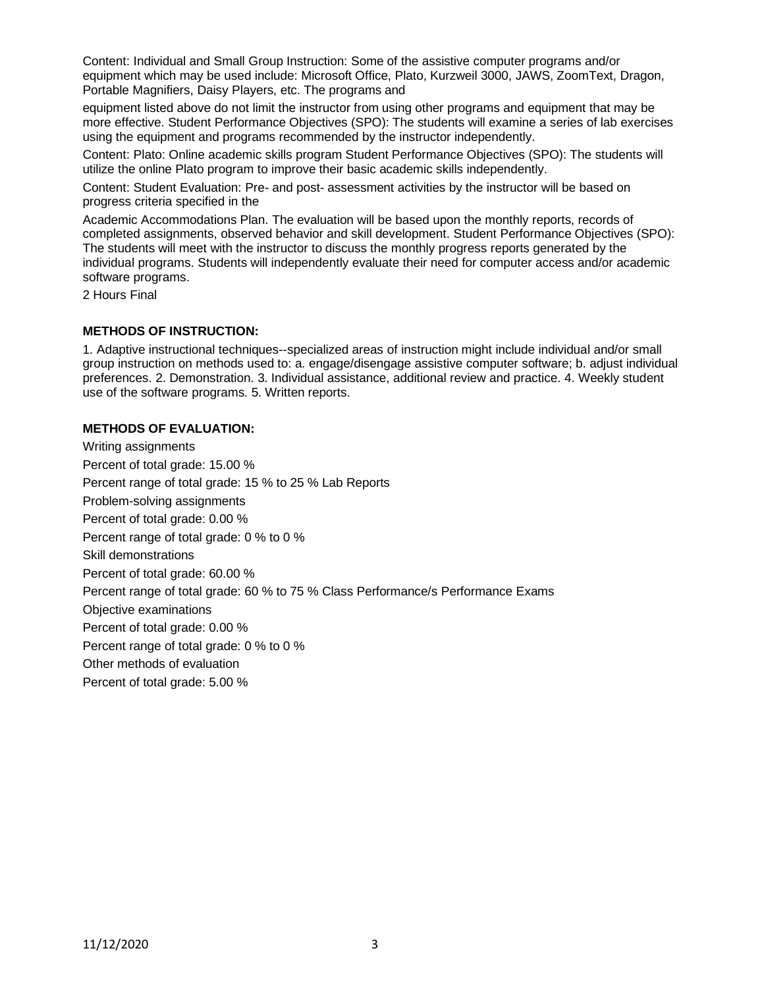Content: Individual and Small Group Instruction: Some of the assistive computer programs and/or equipment which may be used include: Microsoft Office, Plato, Kurzweil 3000, JAWS, ZoomText, Dragon, Portable Magnifiers, Daisy Players, etc. The programs and

equipment listed above do not limit the instructor from using other programs and equipment that may be more effective. Student Performance Objectives (SPO): The students will examine a series of lab exercises using the equipment and programs recommended by the instructor independently.

Content: Plato: Online academic skills program Student Performance Objectives (SPO): The students will utilize the online Plato program to improve their basic academic skills independently.

Content: Student Evaluation: Pre- and post- assessment activities by the instructor will be based on progress criteria specified in the

Academic Accommodations Plan. The evaluation will be based upon the monthly reports, records of completed assignments, observed behavior and skill development. Student Performance Objectives (SPO): The students will meet with the instructor to discuss the monthly progress reports generated by the individual programs. Students will independently evaluate their need for computer access and/or academic software programs.

2 Hours Final

#### **METHODS OF INSTRUCTION:**

1. Adaptive instructional techniques--specialized areas of instruction might include individual and/or small group instruction on methods used to: a. engage/disengage assistive computer software; b. adjust individual preferences. 2. Demonstration. 3. Individual assistance, additional review and practice. 4. Weekly student use of the software programs. 5. Written reports.

#### **METHODS OF EVALUATION:**

Writing assignments Percent of total grade: 15.00 % Percent range of total grade: 15 % to 25 % Lab Reports Problem-solving assignments Percent of total grade: 0.00 % Percent range of total grade: 0 % to 0 % Skill demonstrations Percent of total grade: 60.00 % Percent range of total grade: 60 % to 75 % Class Performance/s Performance Exams Objective examinations Percent of total grade: 0.00 % Percent range of total grade: 0 % to 0 % Other methods of evaluation Percent of total grade: 5.00 %